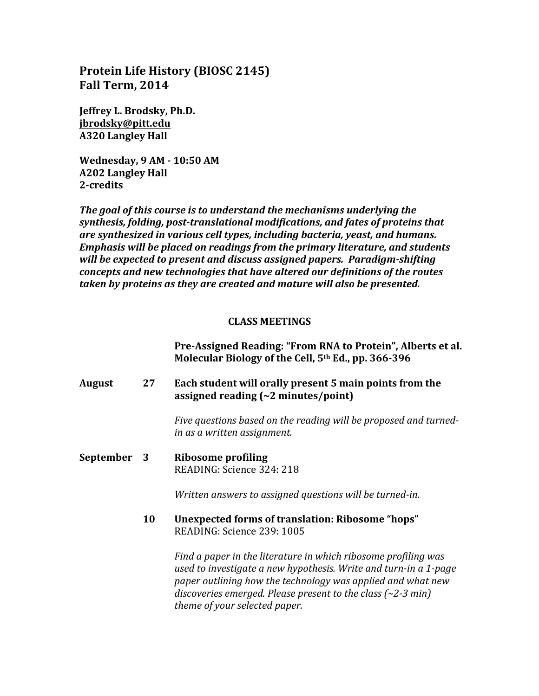# **Protein Life History (BIOSC 2145) Fall Term, 2014**

**Jeffrey L. Brodsky, Ph.D. jbrodsky@pitt.edu A320 Langley Hall**

**Wednesday, 9 AM - 10:50 AM A202 Langley Hall 2-credits**

**The goal of this course is to understand the mechanisms underlying the** synthesis, folding, post-translational modifications, and fates of proteins that *are synthesized in various cell types, including bacteria, yeast, and humans. Emphasis* will be placed on readings from the primary literature, and students *will be expected to present and discuss assigned papers. Paradigm-shifting concepts and new technologies that have altered our definitions of the routes taken by proteins as they are created and mature will also be presented.*

#### **CLASS MEETINGS**

**Pre-Assigned Reading: "From RNA to Protein", Alberts et al.** Molecular Biology of the Cell, 5<sup>th</sup> Ed., pp. 366-396

### **August** 27 **Each student will orally present 5 main points from the assigned reading (~2 minutes/point)**

Five questions based on the reading will be proposed and turned*in as a written assignment.*

**September** 3 **Ribosome** profiling READING: Science 324: 218

*Written answers to assigned questions will be turned-in.* 

**10 Unexpected forms of translation: Ribosome "hops"** READING: Science 239: 1005

> *Find a paper in the literature in which ribosome profiling was* used to investigate a new hypothesis. Write and turn-in a 1-page paper outlining how the technology was applied and what new discoveries emerged. Please present to the class (~2-3 min) *theme of your selected paper.*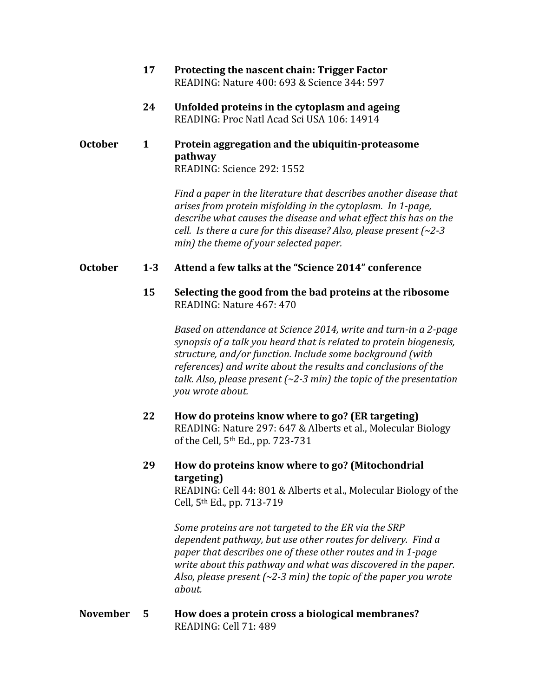- **17 Protecting the nascent chain: Trigger Factor** READING: Nature 400: 693 & Science 344: 597
- **24 Unfolded proteins in the cytoplasm and ageing** READING: Proc Natl Acad Sci USA 106: 14914

### **October** 1 Protein aggregation and the ubiquitin-proteasome **pathway** READING: Science 292: 1552

Find a paper in the literature *that describes another disease that arises from protein misfolding in the cytoplasm.* In 1-page, describe what causes the disease and what effect this has on the *cell.* Is there a cure for this disease? Also, please present (~2-3 *min)* the theme of your selected paper.

## **October 1-3 Attend a few talks at the "Science 2014" conference**

## **15** Selecting the good from the bad proteins at the ribosome READING: Nature 467: 470

*Based on attendance at Science 2014, write and turn-in a 2-page synopsis* of a talk you heard that is related to protein biogenesis, structure, and/or function. Include some background (with references) and write about the results and conclusions of the talk. Also, please present  $(\sim 2-3 \text{ min})$  the topic of the presentation *you wrote about.*

**22 How do proteins know where to go? (ER targeting)** READING: Nature 297: 647 & Alberts et al., Molecular Biology of the Cell,  $5<sup>th</sup>$  Ed., pp. 723-731

## **29 How do proteins know where to go? (Mitochondrial targeting)**

READING: Cell 44: 801 & Alberts et al., Molecular Biology of the Cell, 5<sup>th</sup> Ed., pp. 713-719

Some proteins are not targeted to the ER via the SRP *dependent pathway, but use other routes for delivery. Find a* paper that describes one of these other routes and in 1-page *write about this pathway and what was discovered in the paper.* Also, please present  $(-2-3 \text{ min})$  the topic of the paper you wrote *about.*

### **November 5 How does a protein cross a biological membranes?** READING: Cell 71: 489